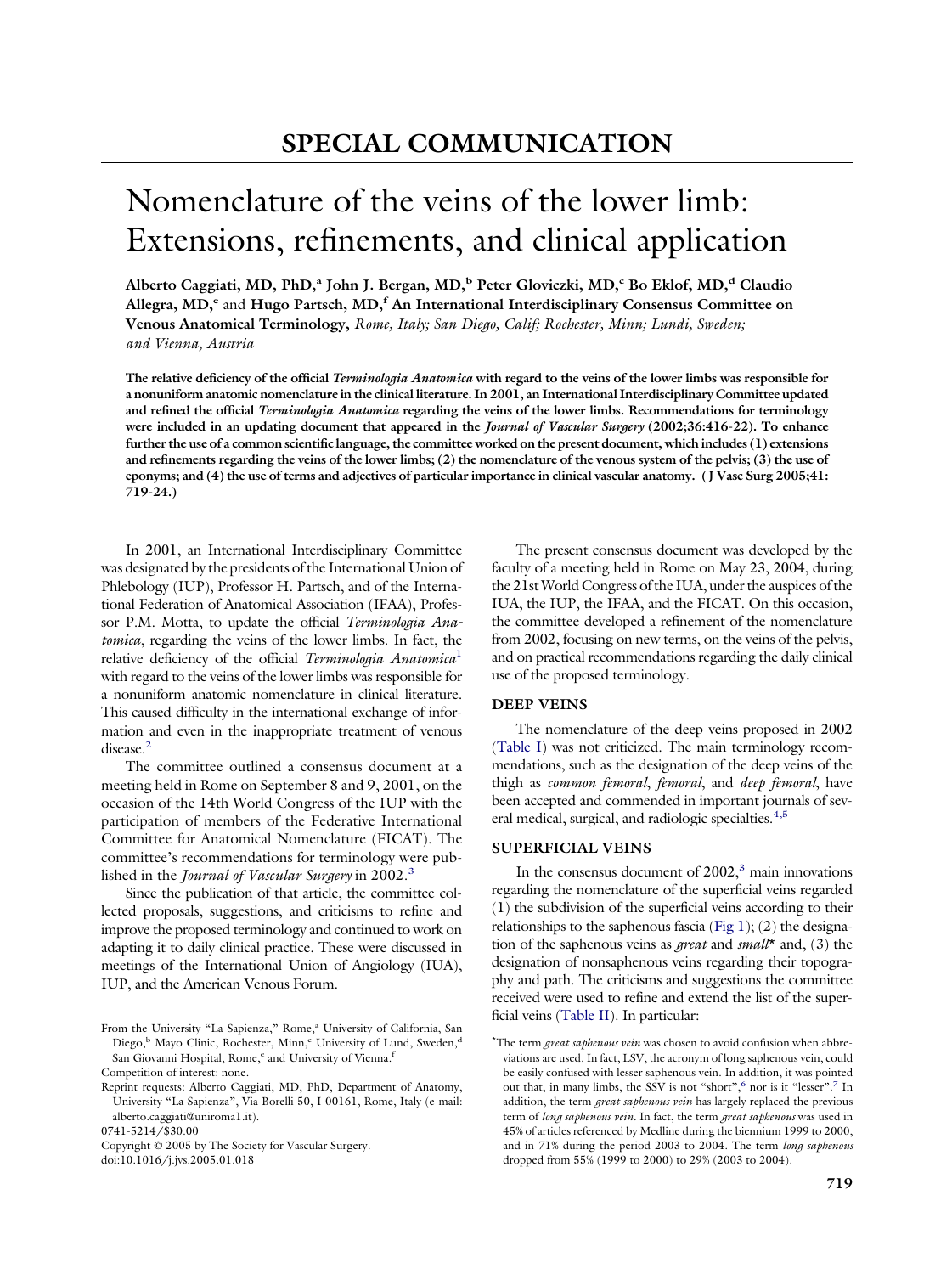# Nomenclature of the veins of the lower limb: Extensions, refinements, and clinical application

**Alberto Caggiati, MD, PhD,a John J. Bergan, MD,b Peter Gloviczki, MD,c Bo Eklof, MD,d Claudio Allegra, MD,e** and **Hugo Partsch, MD,f An International Interdisciplinary Consensus Committee on Venous Anatomical Terminology,** *Rome, Italy; San Diego, Calif; Rochester, Minn; Lundi, Sweden; and Vienna, Austria*

**The relative deficiency of the official** *Terminologia Anatomica* **with regard to the veins of the lower limbs was responsible for a nonuniform anatomic nomenclature in the clinical literature. In 2001, an International Interdisciplinary Committee updated and refined the official** *Terminologia Anatomica* **regarding the veins of the lower limbs. Recommendations for terminology were included in an updating document that appeared in the** *Journal of Vascular Surgery* **(2002;36:416-22). To enhance further the use of a common scientific language, the committee worked on the present document, which includes (1) extensions and refinements regarding the veins of the lower limbs; (2) the nomenclature of the venous system of the pelvis; (3) the use of eponyms; and (4) the use of terms and adjectives of particular importance in clinical vascular anatomy. (J Vasc Surg 2005;41: 719-24.)**

In 2001, an International Interdisciplinary Committee was designated by the presidents of the International Union of Phlebology (IUP), Professor H. Partsch, and of the International Federation of Anatomical Association (IFAA), Professor P.M. Motta, to update the official *Terminologia Anatomica*, regarding the veins of the lower limbs. In fact, the relative deficiency of the official *Terminologia Anatomica*[1](#page-5-0) with regard to the veins of the lower limbs was responsible for a nonuniform anatomic nomenclature in clinical literature. This caused difficulty in the international exchange of information and even in the inappropriate treatment of venous disease.<sup>2</sup>

The committee outlined a consensus document at a meeting held in Rome on September 8 and 9, 2001, on the occasion of the 14th World Congress of the IUP with the participation of members of the Federative International Committee for Anatomical Nomenclature (FICAT). The committee's recommendations for terminology were published in the *Journal of Vascular Surgery* in 2002[.3](#page-5-0)

Since the publication of that article, the committee collected proposals, suggestions, and criticisms to refine and improve the proposed terminology and continued to work on adapting it to daily clinical practice. These were discussed in meetings of the International Union of Angiology (IUA), IUP, and the American Venous Forum.

0741-5214/\$30.00

Copyright © 2005 by The Society for Vascular Surgery. doi:10.1016/j.jvs.2005.01.018

The present consensus document was developed by the faculty of a meeting held in Rome on May 23, 2004, during the 21stWorld Congress of the IUA, under the auspices of the IUA, the IUP, the IFAA, and the FICAT. On this occasion, the committee developed a refinement of the nomenclature from 2002, focusing on new terms, on the veins of the pelvis, and on practical recommendations regarding the daily clinical use of the proposed terminology.

## **DEEP VEINS**

The nomenclature of the deep veins proposed in 2002 [\(Table](#page-1-0) I) was not criticized. The main terminology recommendations, such as the designation of the deep veins of the thigh as *common femoral*, *femoral*, and *deep femoral*, have been accepted and commended in important journals of several medical, surgical, and radiologic specialties.<sup>4,5</sup>

### **SUPERFICIAL VEINS**

In the consensus document of  $2002$ ,<sup>3</sup> main innovations regarding the nomenclature of the superficial veins regarded (1) the subdivision of the superficial veins according to their relationships to the saphenous fascia [\(Fig](#page-1-0) 1); (2) the designation of the saphenous veins as *great* and *small*\* and, (3) the designation of nonsaphenous veins regarding their topography and path. The criticisms and suggestions the committee received were used to refine and extend the list of the superficial veins [\(Table](#page-1-0) II). In particular:

From the University "La Sapienza," Rome,<sup>a</sup> University of California, San Diego,<sup>b</sup> Mayo Clinic, Rochester, Minn,<sup>c</sup> University of Lund, Sweden,<sup>d</sup> San Giovanni Hospital, Rome,<sup>e</sup> and University of Vienna.<sup>f</sup> Competition of interest: none.

Reprint requests: Alberto Caggiati, MD, PhD, Department of Anatomy, University "La Sapienza", Via Borelli 50, I-00161, Rome, Italy (e-mail: alberto.caggiati@uniroma1.it).

<sup>\*</sup> The term *great saphenous vein* was chosen to avoid confusion when abbreviations are used. In fact, LSV, the acronym of long saphenous vein, could be easily confused with lesser saphenous vein. In addition, it was pointed out that, in many limbs, the SSV is not "short",<sup>6</sup> nor is it "lesser".<sup>7</sup> In addition, the term *great saphenous vein* has largely replaced the previous term of *long saphenous vein.* In fact, the term *great saphenous* was used in 45% of articles referenced by Medline during the biennium 1999 to 2000, and in 71% during the period 2003 to 2004. The term *long saphenous* dropped from 55% (1999 to 2000) to 29% (2003 to 2004).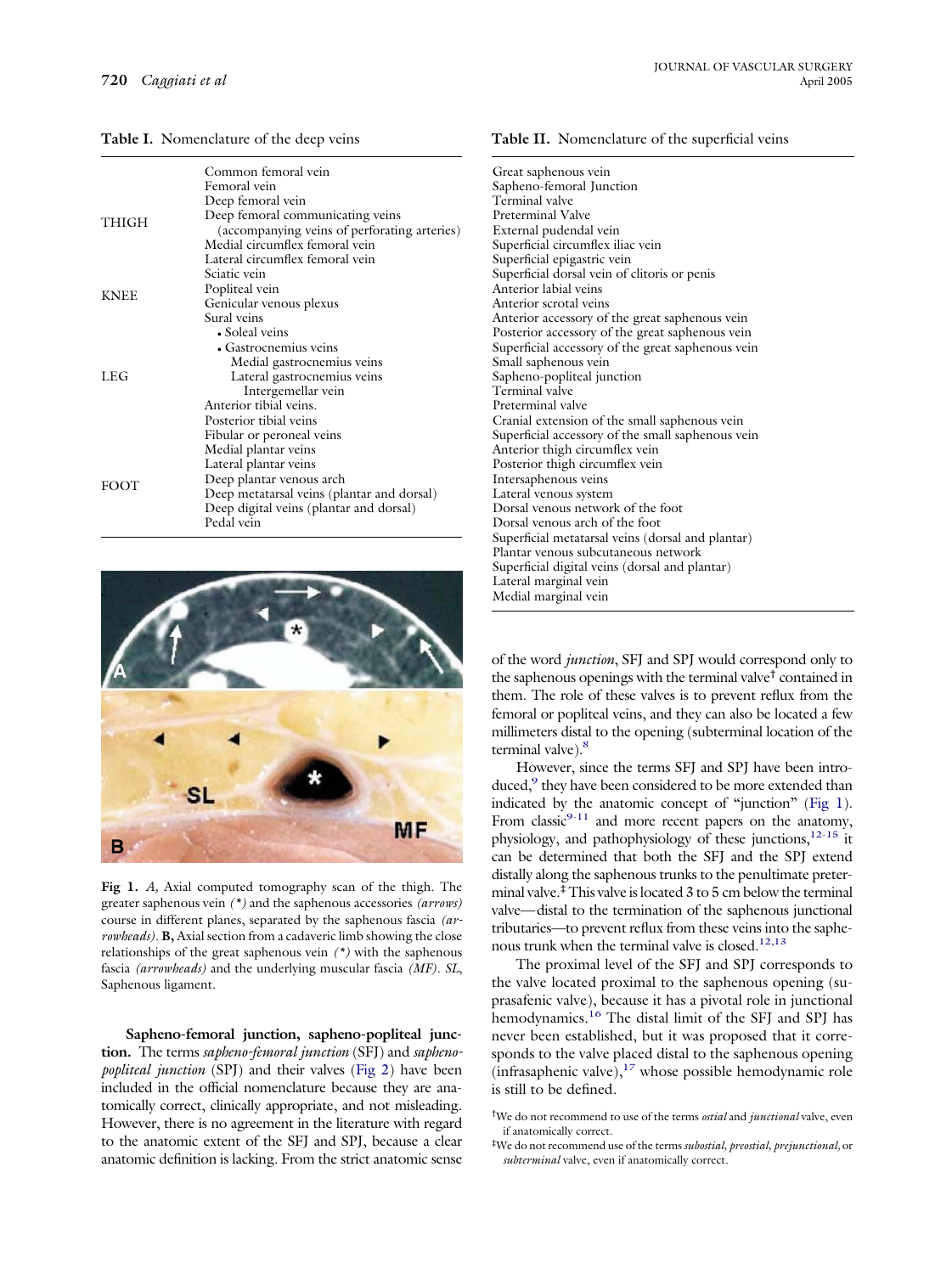<span id="page-1-0"></span>**Table I.** Nomenclature of the deep veins

|             | Common femoral vein                                                              |  |  |  |  |  |
|-------------|----------------------------------------------------------------------------------|--|--|--|--|--|
|             | Femoral vein                                                                     |  |  |  |  |  |
|             | Deep femoral vein                                                                |  |  |  |  |  |
| THIGH       | Deep femoral communicating veins<br>(accompanying veins of perforating arteries) |  |  |  |  |  |
|             | Medial circumflex femoral vein                                                   |  |  |  |  |  |
|             | Lateral circumflex femoral vein                                                  |  |  |  |  |  |
|             | Sciatic vein                                                                     |  |  |  |  |  |
| <b>KNEE</b> | Popliteal vein                                                                   |  |  |  |  |  |
|             | Genicular venous plexus                                                          |  |  |  |  |  |
|             | Sural veins                                                                      |  |  |  |  |  |
|             | • Soleal veins                                                                   |  |  |  |  |  |
|             | • Gastrocnemius veins                                                            |  |  |  |  |  |
|             | Medial gastrocnemius veins                                                       |  |  |  |  |  |
| LEG         | Lateral gastrocnemius veins                                                      |  |  |  |  |  |
|             | Intergemellar vein                                                               |  |  |  |  |  |
|             | Anterior tibial veins.                                                           |  |  |  |  |  |
|             | Posterior tibial veins                                                           |  |  |  |  |  |
|             | Fibular or peroneal veins                                                        |  |  |  |  |  |
|             | Medial plantar veins                                                             |  |  |  |  |  |
|             | Lateral plantar veins                                                            |  |  |  |  |  |
| <b>FOOT</b> | Deep plantar venous arch                                                         |  |  |  |  |  |
|             | Deep metatarsal veins (plantar and dorsal)                                       |  |  |  |  |  |
|             | Deep digital veins (plantar and dorsal)                                          |  |  |  |  |  |
|             | Pedal vein                                                                       |  |  |  |  |  |



**Fig 1.** *A,* Axial computed tomography scan of the thigh. The greater saphenous vein *(\*)* and the saphenous accessories *(arrows)* course in different planes, separated by the saphenous fascia *(arrowheads)*. **B,** Axial section from a cadaveric limb showing the close relationships of the great saphenous vein *(\*)* with the saphenous fascia *(arrowheads)* and the underlying muscular fascia *(MF)*. *SL*, Saphenous ligament.

**Sapheno-femoral junction, sapheno-popliteal junction.** The terms *sapheno-femoral junction* (SFJ) and *saphenopopliteal junction* (SPJ) and their valves [\(Fig](#page-2-0) 2) have been included in the official nomenclature because they are anatomically correct, clinically appropriate, and not misleading. However, there is no agreement in the literature with regard to the anatomic extent of the SFJ and SPJ, because a clear anatomic definition is lacking. From the strict anatomic sense

#### **Table II.** Nomenclature of the superficial veins

Great saphenous vein Sapheno-femoral Junction Terminal valve Preterminal Valve External pudendal vein Superficial circumflex iliac vein Superficial epigastric vein Superficial dorsal vein of clitoris or penis Anterior labial veins Anterior scrotal veins Anterior accessory of the great saphenous vein Posterior accessory of the great saphenous vein Superficial accessory of the great saphenous vein Small saphenous vein Sapheno-popliteal junction Terminal valve Preterminal valve Cranial extension of the small saphenous vein Superficial accessory of the small saphenous vein Anterior thigh circumflex vein Posterior thigh circumflex vein Intersaphenous veins Lateral venous system Dorsal venous network of the foot Dorsal venous arch of the foot Superficial metatarsal veins (dorsal and plantar) Plantar venous subcutaneous network Superficial digital veins (dorsal and plantar) Lateral marginal vein Medial marginal vein

of the word *junction*, SFJ and SPJ would correspond only to the saphenous openings with the terminal valve† contained in them. The role of these valves is to prevent reflux from the femoral or popliteal veins, and they can also be located a few millimeters distal to the opening (subterminal location of the terminal valve).<sup>8</sup>

However, since the terms SFJ and SPJ have been introduced,<sup>9</sup> they have been considered to be more extended than indicated by the anatomic concept of "junction" (Fig 1). From classic<sup>9-11</sup> and more recent papers on the anatomy, physiology, and pathophysiology of these junctions,  $12-15$  it can be determined that both the SFJ and the SPJ extend distally along the saphenous trunks to the penultimate preterminal valve.‡This valve islocated 3 to 5 cm below the terminal valve—distal to the termination of the saphenous junctional tributaries—to prevent reflux from these veins into the saphenous trunk when the terminal valve is closed.<sup>12,13</sup>

The proximal level of the SFJ and SPJ corresponds to the valve located proximal to the saphenous opening (suprasafenic valve), because it has a pivotal role in junctional hemodynamics.<sup>16</sup> The distal limit of the SFJ and SPJ has never been established, but it was proposed that it corresponds to the valve placed distal to the saphenous opening (infrasaphenic valve), $17$  whose possible hemodynamic role is still to be defined.

<sup>†</sup> We do not recommend to use of the terms *ostial* and *junctional* valve, even if anatomically correct.

<sup>‡</sup> We do not recommend use of the terms *subostial, preostial, prejunctional,* or *subterminal* valve, even if anatomically correct.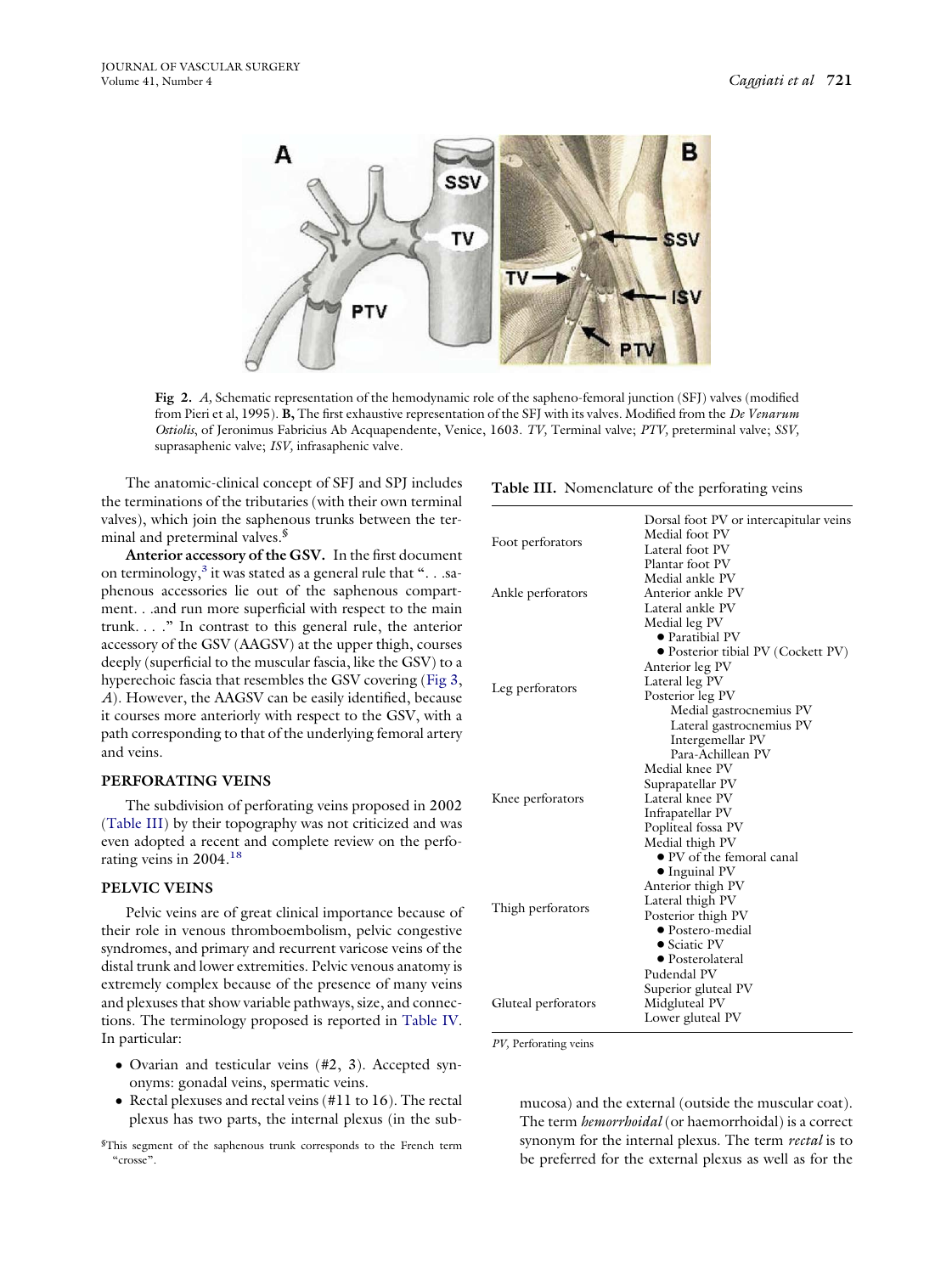<span id="page-2-0"></span>

**Fig 2.** *A,* Schematic representation of the hemodynamic role of the sapheno-femoral junction (SFJ) valves (modified from Pieri et al, 1995). **B,** The first exhaustive representation of the SFJ with its valves. Modified from the *De Venarum Ostiolis*, of Jeronimus Fabricius Ab Acquapendente, Venice, 1603. *TV,* Terminal valve; *PTV,* preterminal valve; *SSV,* suprasaphenic valve; *ISV,* infrasaphenic valve.

The anatomic-clinical concept of SFJ and SPJ includes the terminations of the tributaries (with their own terminal valves), which join the saphenous trunks between the terminal and preterminal valves.<sup>§</sup>

**Anterior accessory of the GSV.** In the first document on terminology,<sup>3</sup> it was stated as a general rule that " $\dots$  saphenous accessories lie out of the saphenous compartment. . .and run more superficial with respect to the main trunk. . . ." In contrast to this general rule, the anterior accessory of the GSV (AAGSV) at the upper thigh, courses deeply (superficial to the muscular fascia, like the GSV) to a hyperechoic fascia that resembles the GSV covering [\(Fig](#page-4-0) 3, *A*). However, the AAGSV can be easily identified, because it courses more anteriorly with respect to the GSV, with a path corresponding to that of the underlying femoral artery and veins.

#### **PERFORATING VEINS**

The subdivision of perforating veins proposed in 2002 (Table III) by their topography was not criticized and was even adopted a recent and complete review on the perforating veins in 2004[.18](#page-5-0)

## **PELVIC VEINS**

Pelvic veins are of great clinical importance because of their role in venous thromboembolism, pelvic congestive syndromes, and primary and recurrent varicose veins of the distal trunk and lower extremities. Pelvic venous anatomy is extremely complex because of the presence of many veins and plexuses that show variable pathways, size, and connections. The terminology proposed is reported in [Table](#page-3-0) IV. In particular:

- Ovarian and testicular veins (#2, 3). Accepted synonyms: gonadal veins, spermatic veins.
- Rectal plexuses and rectal veins (#11 to 16). The rectal plexus has two parts, the internal plexus (in the sub-

§ This segment of the saphenous trunk corresponds to the French term "crosse".

**Table III.** Nomenclature of the perforating veins

| Medial foot PV<br>Foot perforators<br>Lateral foot PV<br>Plantar foot PV<br>Medial ankle PV<br>Anterior ankle PV<br>Ankle perforators<br>Lateral ankle PV<br>Medial leg PV<br>• Paratibial PV<br>• Posterior tibial PV (Cockett PV)<br>Anterior leg PV<br>Lateral leg PV<br>Leg perforators<br>Posterior leg PV<br>Medial gastrocnemius PV<br>Lateral gastrocnemius PV<br>Intergemellar PV<br>Para-Achillean PV<br>Medial knee PV<br>Suprapatellar PV<br>Lateral knee PV<br>Knee perforators<br>Infrapatellar PV<br>Popliteal fossa PV<br>Medial thigh PV<br>· PV of the femoral canal<br>$\bullet$ Inguinal PV<br>Anterior thigh PV<br>Lateral thigh PV<br>Thigh perforators<br>Posterior thigh PV<br>• Postero-medial<br>• Sciatic PV<br>• Posterolateral<br>Pudendal PV | Dorsal foot PV or intercapitular veins |  |  |  |  |
|----------------------------------------------------------------------------------------------------------------------------------------------------------------------------------------------------------------------------------------------------------------------------------------------------------------------------------------------------------------------------------------------------------------------------------------------------------------------------------------------------------------------------------------------------------------------------------------------------------------------------------------------------------------------------------------------------------------------------------------------------------------------------|----------------------------------------|--|--|--|--|
|                                                                                                                                                                                                                                                                                                                                                                                                                                                                                                                                                                                                                                                                                                                                                                            |                                        |  |  |  |  |
|                                                                                                                                                                                                                                                                                                                                                                                                                                                                                                                                                                                                                                                                                                                                                                            |                                        |  |  |  |  |
|                                                                                                                                                                                                                                                                                                                                                                                                                                                                                                                                                                                                                                                                                                                                                                            |                                        |  |  |  |  |
|                                                                                                                                                                                                                                                                                                                                                                                                                                                                                                                                                                                                                                                                                                                                                                            |                                        |  |  |  |  |
|                                                                                                                                                                                                                                                                                                                                                                                                                                                                                                                                                                                                                                                                                                                                                                            |                                        |  |  |  |  |
|                                                                                                                                                                                                                                                                                                                                                                                                                                                                                                                                                                                                                                                                                                                                                                            |                                        |  |  |  |  |
|                                                                                                                                                                                                                                                                                                                                                                                                                                                                                                                                                                                                                                                                                                                                                                            |                                        |  |  |  |  |
|                                                                                                                                                                                                                                                                                                                                                                                                                                                                                                                                                                                                                                                                                                                                                                            |                                        |  |  |  |  |
|                                                                                                                                                                                                                                                                                                                                                                                                                                                                                                                                                                                                                                                                                                                                                                            |                                        |  |  |  |  |
|                                                                                                                                                                                                                                                                                                                                                                                                                                                                                                                                                                                                                                                                                                                                                                            |                                        |  |  |  |  |
|                                                                                                                                                                                                                                                                                                                                                                                                                                                                                                                                                                                                                                                                                                                                                                            |                                        |  |  |  |  |
|                                                                                                                                                                                                                                                                                                                                                                                                                                                                                                                                                                                                                                                                                                                                                                            |                                        |  |  |  |  |
|                                                                                                                                                                                                                                                                                                                                                                                                                                                                                                                                                                                                                                                                                                                                                                            |                                        |  |  |  |  |
|                                                                                                                                                                                                                                                                                                                                                                                                                                                                                                                                                                                                                                                                                                                                                                            |                                        |  |  |  |  |
|                                                                                                                                                                                                                                                                                                                                                                                                                                                                                                                                                                                                                                                                                                                                                                            |                                        |  |  |  |  |
|                                                                                                                                                                                                                                                                                                                                                                                                                                                                                                                                                                                                                                                                                                                                                                            |                                        |  |  |  |  |
|                                                                                                                                                                                                                                                                                                                                                                                                                                                                                                                                                                                                                                                                                                                                                                            |                                        |  |  |  |  |
|                                                                                                                                                                                                                                                                                                                                                                                                                                                                                                                                                                                                                                                                                                                                                                            |                                        |  |  |  |  |
|                                                                                                                                                                                                                                                                                                                                                                                                                                                                                                                                                                                                                                                                                                                                                                            |                                        |  |  |  |  |
|                                                                                                                                                                                                                                                                                                                                                                                                                                                                                                                                                                                                                                                                                                                                                                            |                                        |  |  |  |  |
|                                                                                                                                                                                                                                                                                                                                                                                                                                                                                                                                                                                                                                                                                                                                                                            |                                        |  |  |  |  |
|                                                                                                                                                                                                                                                                                                                                                                                                                                                                                                                                                                                                                                                                                                                                                                            |                                        |  |  |  |  |
|                                                                                                                                                                                                                                                                                                                                                                                                                                                                                                                                                                                                                                                                                                                                                                            |                                        |  |  |  |  |
|                                                                                                                                                                                                                                                                                                                                                                                                                                                                                                                                                                                                                                                                                                                                                                            |                                        |  |  |  |  |
|                                                                                                                                                                                                                                                                                                                                                                                                                                                                                                                                                                                                                                                                                                                                                                            |                                        |  |  |  |  |
|                                                                                                                                                                                                                                                                                                                                                                                                                                                                                                                                                                                                                                                                                                                                                                            |                                        |  |  |  |  |
|                                                                                                                                                                                                                                                                                                                                                                                                                                                                                                                                                                                                                                                                                                                                                                            |                                        |  |  |  |  |
|                                                                                                                                                                                                                                                                                                                                                                                                                                                                                                                                                                                                                                                                                                                                                                            |                                        |  |  |  |  |
|                                                                                                                                                                                                                                                                                                                                                                                                                                                                                                                                                                                                                                                                                                                                                                            |                                        |  |  |  |  |
|                                                                                                                                                                                                                                                                                                                                                                                                                                                                                                                                                                                                                                                                                                                                                                            |                                        |  |  |  |  |
|                                                                                                                                                                                                                                                                                                                                                                                                                                                                                                                                                                                                                                                                                                                                                                            |                                        |  |  |  |  |
|                                                                                                                                                                                                                                                                                                                                                                                                                                                                                                                                                                                                                                                                                                                                                                            | Superior gluteal PV                    |  |  |  |  |
| Midgluteal PV<br>Gluteal perforators                                                                                                                                                                                                                                                                                                                                                                                                                                                                                                                                                                                                                                                                                                                                       |                                        |  |  |  |  |
| Lower gluteal PV                                                                                                                                                                                                                                                                                                                                                                                                                                                                                                                                                                                                                                                                                                                                                           |                                        |  |  |  |  |

*PV,* Perforating veins

mucosa) and the external (outside the muscular coat). The term *hemorrhoidal* (or haemorrhoidal) is a correct synonym for the internal plexus. The term *rectal* is to be preferred for the external plexus as well as for the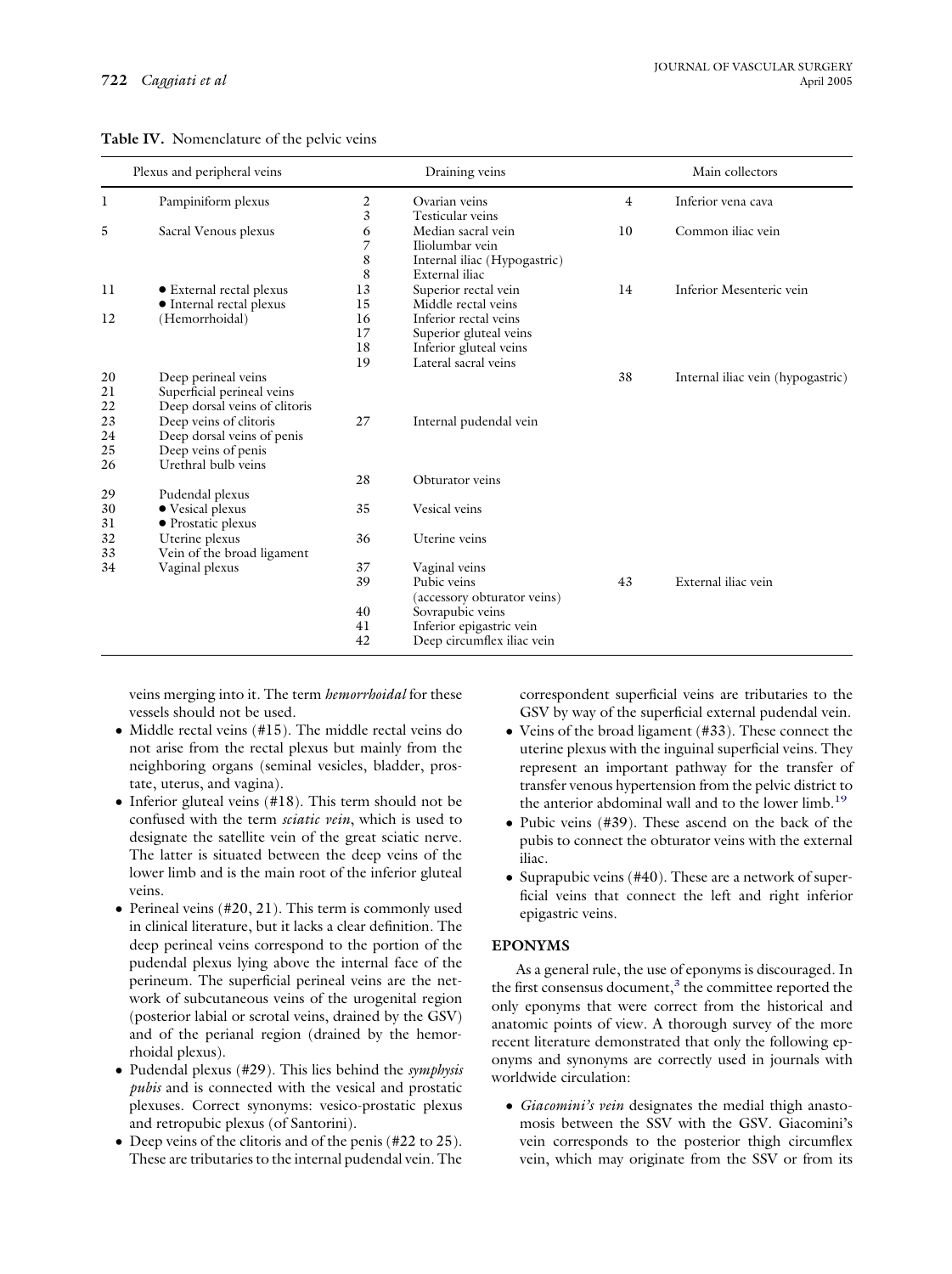|    | Plexus and peripheral veins   |    | Draining veins               |    | Main collectors                   |  |
|----|-------------------------------|----|------------------------------|----|-----------------------------------|--|
| 1  | Pampiniform plexus            | 2  | Ovarian veins                | 4  | Inferior vena cava                |  |
|    |                               | 3  | Testicular veins             |    |                                   |  |
| 5  | Sacral Venous plexus          | 6  | Median sacral vein           | 10 | Common iliac vein                 |  |
|    |                               | 7  | Iliolumbar vein              |    |                                   |  |
|    |                               | 8  | Internal iliac (Hypogastric) |    |                                   |  |
|    |                               | 8  | External iliac               |    |                                   |  |
| 11 | • External rectal plexus      | 13 | Superior rectal vein         | 14 | Inferior Mesenteric vein          |  |
|    | • Internal rectal plexus      | 15 | Middle rectal veins          |    |                                   |  |
| 12 | (Hemorrhoidal)                | 16 | Inferior rectal veins        |    |                                   |  |
|    |                               | 17 | Superior gluteal veins       |    |                                   |  |
|    |                               | 18 | Inferior gluteal veins       |    |                                   |  |
|    |                               | 19 | Lateral sacral veins         |    |                                   |  |
| 20 | Deep perineal veins           |    |                              | 38 | Internal iliac vein (hypogastric) |  |
| 21 | Superficial perineal veins    |    |                              |    |                                   |  |
| 22 | Deep dorsal veins of clitoris |    |                              |    |                                   |  |
| 23 | Deep veins of clitoris        | 27 | Internal pudendal vein       |    |                                   |  |
| 24 | Deep dorsal veins of penis    |    |                              |    |                                   |  |
| 25 | Deep veins of penis           |    |                              |    |                                   |  |
| 26 | Urethral bulb veins           |    |                              |    |                                   |  |
|    |                               | 28 | Obturator veins              |    |                                   |  |
| 29 | Pudendal plexus               |    |                              |    |                                   |  |
| 30 | • Vesical plexus              | 35 | Vesical veins                |    |                                   |  |
| 31 | • Prostatic plexus            |    |                              |    |                                   |  |
| 32 | Uterine plexus                | 36 | Uterine veins                |    |                                   |  |
| 33 | Vein of the broad ligament    |    |                              |    |                                   |  |
| 34 | Vaginal plexus                | 37 | Vaginal veins                |    |                                   |  |
|    |                               | 39 | Pubic veins                  | 43 | External iliac vein               |  |
|    |                               |    | (accessory obturator veins)  |    |                                   |  |
|    |                               | 40 | Sovrapubic veins             |    |                                   |  |
|    |                               | 41 | Inferior epigastric vein     |    |                                   |  |
|    |                               | 42 | Deep circumflex iliac vein   |    |                                   |  |

<span id="page-3-0"></span>

|  | Table IV. Nomenclature of the pelvic veins |  |  |
|--|--------------------------------------------|--|--|
|--|--------------------------------------------|--|--|

veins merging into it. The term *hemorrhoidal* for these vessels should not be used.

- Middle rectal veins (#15). The middle rectal veins do not arise from the rectal plexus but mainly from the neighboring organs (seminal vesicles, bladder, prostate, uterus, and vagina).
- Inferior gluteal veins (#18). This term should not be confused with the term *sciatic vein*, which is used to designate the satellite vein of the great sciatic nerve. The latter is situated between the deep veins of the lower limb and is the main root of the inferior gluteal veins.
- Perineal veins  $(\#20, 21)$ . This term is commonly used in clinical literature, but it lacks a clear definition. The deep perineal veins correspond to the portion of the pudendal plexus lying above the internal face of the perineum. The superficial perineal veins are the network of subcutaneous veins of the urogenital region (posterior labial or scrotal veins, drained by the GSV) and of the perianal region (drained by the hemorrhoidal plexus).
- Pudendal plexus (#29). This lies behind the *symphysis pubis* and is connected with the vesical and prostatic plexuses. Correct synonyms: vesico-prostatic plexus and retropubic plexus (of Santorini).
- Deep veins of the clitoris and of the penis (#22 to 25). These are tributaries to the internal pudendal vein. The

correspondent superficial veins are tributaries to the GSV by way of the superficial external pudendal vein.

- Veins of the broad ligament (#33). These connect the uterine plexus with the inguinal superficial veins. They represent an important pathway for the transfer of transfer venous hypertension from the pelvic district to the anterior abdominal wall and to the lower limb.<sup>19</sup>
- Pubic veins (#39). These ascend on the back of the pubis to connect the obturator veins with the external iliac.
- Suprapubic veins (#40). These are a network of superficial veins that connect the left and right inferior epigastric veins.

# **EPONYMS**

As a general rule, the use of eponyms is discouraged. In the first consensus document, $3$  the committee reported the only eponyms that were correct from the historical and anatomic points of view. A thorough survey of the more recent literature demonstrated that only the following eponyms and synonyms are correctly used in journals with worldwide circulation:

● *Giacomini's vein* designates the medial thigh anastomosis between the SSV with the GSV. Giacomini's vein corresponds to the posterior thigh circumflex vein, which may originate from the SSV or from its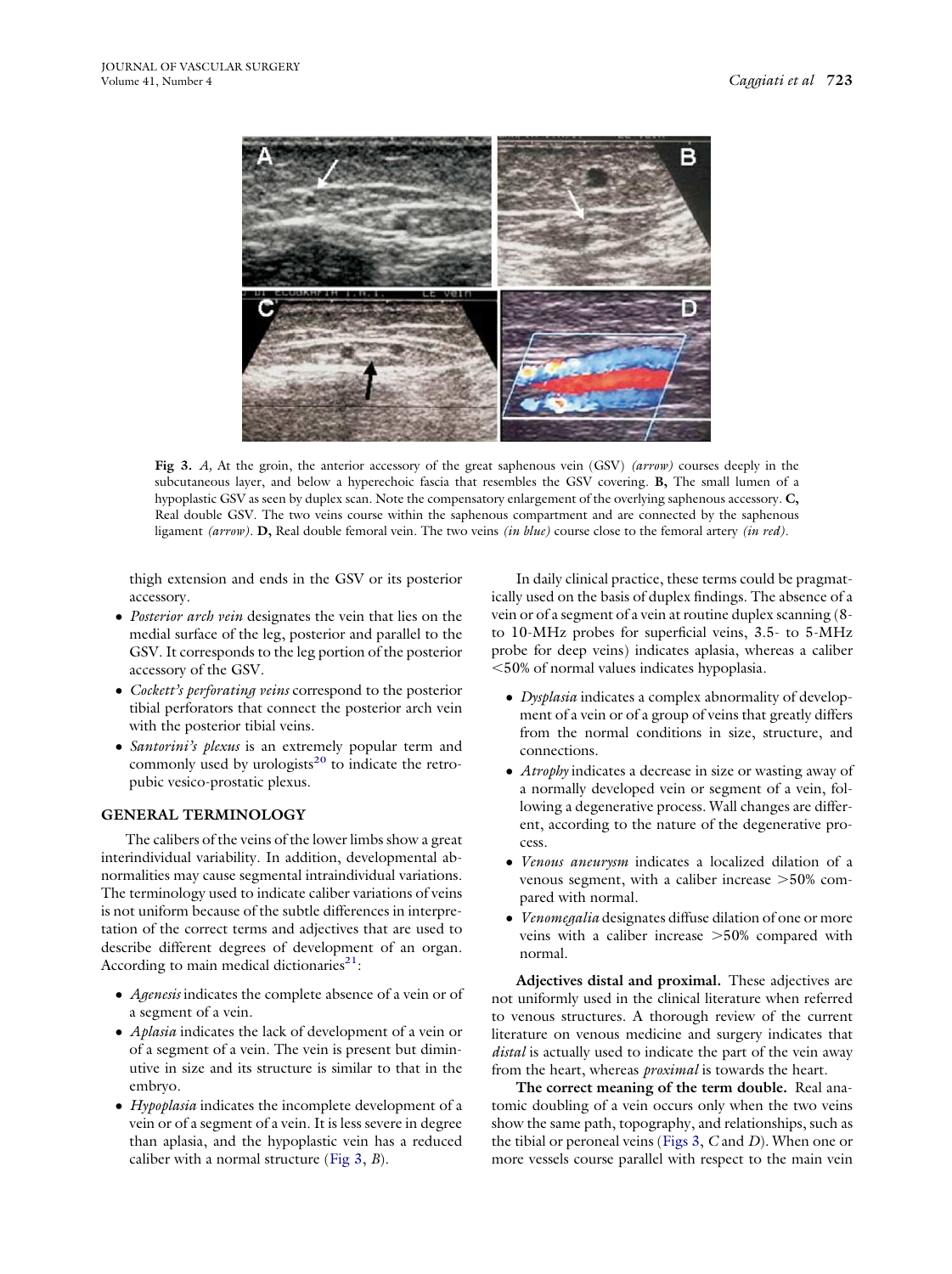<span id="page-4-0"></span>

**Fig 3.** *A,* At the groin, the anterior accessory of the great saphenous vein (GSV) *(arrow)* courses deeply in the subcutaneous layer, and below a hyperechoic fascia that resembles the GSV covering. **B,** The small lumen of a hypoplastic GSV as seen by duplex scan. Note the compensatory enlargement of the overlying saphenous accessory. **C,** Real double GSV. The two veins course within the saphenous compartment and are connected by the saphenous ligament *(arrow)*. **D,** Real double femoral vein. The two veins *(in blue)* course close to the femoral artery *(in red)*.

thigh extension and ends in the GSV or its posterior accessory.

- *Posterior arch vein* designates the vein that lies on the medial surface of the leg, posterior and parallel to the GSV. It corresponds to the leg portion of the posterior accessory of the GSV.
- *Cockett's perforating veins* correspond to the posterior tibial perforators that connect the posterior arch vein with the posterior tibial veins.
- *Santorini's plexus* is an extremely popular term and commonly used by urologists<sup>20</sup> to indicate the retropubic vesico-prostatic plexus.

# **GENERAL TERMINOLOGY**

The calibers of the veins of the lower limbs show a great interindividual variability. In addition, developmental abnormalities may cause segmental intraindividual variations. The terminology used to indicate caliber variations of veins is not uniform because of the subtle differences in interpretation of the correct terms and adjectives that are used to describe different degrees of development of an organ. According to main medical dictionaries<sup>21</sup>:

- *Agenesis* indicates the complete absence of a vein or of a segment of a vein.
- *Aplasia* indicates the lack of development of a vein or of a segment of a vein. The vein is present but diminutive in size and its structure is similar to that in the embryo.
- *Hypoplasia* indicates the incomplete development of a vein or of a segment of a vein. It is less severe in degree than aplasia, and the hypoplastic vein has a reduced caliber with a normal structure (Fig 3, *B*).

In daily clinical practice, these terms could be pragmatically used on the basis of duplex findings. The absence of a vein or of a segment of a vein at routine duplex scanning (8 to 10-MHz probes for superficial veins, 3.5- to 5-MHz probe for deep veins) indicates aplasia, whereas a caliber 50% of normal values indicates hypoplasia.

- *Dysplasia* indicates a complex abnormality of development of a vein or of a group of veins that greatly differs from the normal conditions in size, structure, and connections.
- *Atrophy* indicates a decrease in size or wasting away of a normally developed vein or segment of a vein, following a degenerative process. Wall changes are different, according to the nature of the degenerative process.
- *Venous aneurysm* indicates a localized dilation of a venous segment, with a caliber increase  $>50\%$  compared with normal.
- *Venomegalia* designates diffuse dilation of one or more veins with a caliber increase >50% compared with normal.

**Adjectives distal and proximal.** These adjectives are not uniformly used in the clinical literature when referred to venous structures. A thorough review of the current literature on venous medicine and surgery indicates that *distal* is actually used to indicate the part of the vein away from the heart, whereas *proximal* is towards the heart.

**The correct meaning of the term double.** Real anatomic doubling of a vein occurs only when the two veins show the same path, topography, and relationships, such as the tibial or peroneal veins (Figs 3, *C* and *D*). When one or more vessels course parallel with respect to the main vein